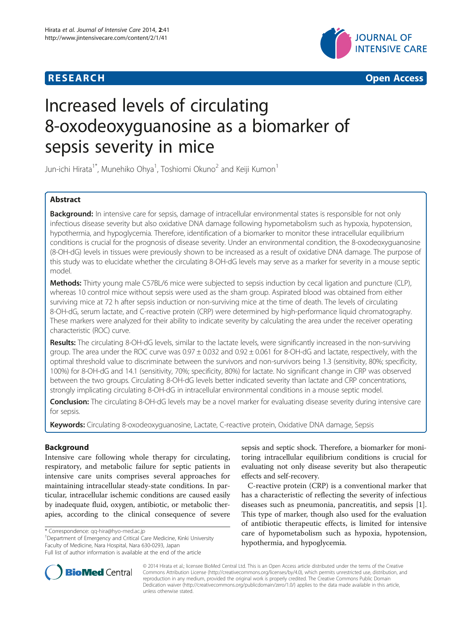

**RESEARCH CHINESE ARCH CHINESE ARCHITECT ARCHITECT ARCHITECT ARCHITECT ARCHITECT ARCHITECT ARCHITECT ARCHITECT ARCHITECT ARCHITECT ARCHITECT ARCHITECT ARCHITECT ARCHITECT ARCHITECT ARCHITECT ARCHITECT ARCHITECT ARCHITE** 

# Increased levels of circulating 8-oxodeoxyguanosine as a biomarker of sepsis severity in mice

Jun-ichi Hirata<sup>1\*</sup>, Munehiko Ohya<sup>1</sup>, Toshiomi Okuno<sup>2</sup> and Keiji Kumon<sup>1</sup>

# Abstract

Background: In intensive care for sepsis, damage of intracellular environmental states is responsible for not only infectious disease severity but also oxidative DNA damage following hypometabolism such as hypoxia, hypotension, hypothermia, and hypoglycemia. Therefore, identification of a biomarker to monitor these intracellular equilibrium conditions is crucial for the prognosis of disease severity. Under an environmental condition, the 8-oxodeoxyguanosine (8-OH-dG) levels in tissues were previously shown to be increased as a result of oxidative DNA damage. The purpose of this study was to elucidate whether the circulating 8-OH-dG levels may serve as a marker for severity in a mouse septic model.

Methods: Thirty young male C57BL/6 mice were subjected to sepsis induction by cecal ligation and puncture (CLP), whereas 10 control mice without sepsis were used as the sham group. Aspirated blood was obtained from either surviving mice at 72 h after sepsis induction or non-surviving mice at the time of death. The levels of circulating 8-OH-dG, serum lactate, and C-reactive protein (CRP) were determined by high-performance liquid chromatography. These markers were analyzed for their ability to indicate severity by calculating the area under the receiver operating characteristic (ROC) curve.

Results: The circulating 8-OH-dG levels, similar to the lactate levels, were significantly increased in the non-surviving group. The area under the ROC curve was  $0.97 \pm 0.032$  and  $0.92 \pm 0.061$  for 8-OH-dG and lactate, respectively, with the optimal threshold value to discriminate between the survivors and non-survivors being 1.3 (sensitivity, 80%; specificity, 100%) for 8-OH-dG and 14.1 (sensitivity, 70%; specificity, 80%) for lactate. No significant change in CRP was observed between the two groups. Circulating 8-OH-dG levels better indicated severity than lactate and CRP concentrations, strongly implicating circulating 8-OH-dG in intracellular environmental conditions in a mouse septic model.

Conclusion: The circulating 8-OH-dG levels may be a novel marker for evaluating disease severity during intensive care for sepsis.

**Keywords:** Circulating 8-oxodeoxyguanosine, Lactate, C-reactive protein, Oxidative DNA damage, Sepsis

# Background

Intensive care following whole therapy for circulating, respiratory, and metabolic failure for septic patients in intensive care units comprises several approaches for maintaining intracellular steady-state conditions. In particular, intracellular ischemic conditions are caused easily by inadequate fluid, oxygen, antibiotic, or metabolic therapies, according to the clinical consequence of severe

<sup>1</sup>Department of Emergency and Critical Care Medicine, Kinki University Faculty of Medicine, Nara Hospital, Nara 630-0293, Japan



C-reactive protein (CRP) is a conventional marker that has a characteristic of reflecting the severity of infectious diseases such as pneumonia, pancreatitis, and sepsis [\[1](#page-4-0)]. This type of marker, though also used for the evaluation of antibiotic therapeutic effects, is limited for intensive care of hypometabolism such as hypoxia, hypotension, hypothermia, and hypoglycemia.



© 2014 Hirata et al.; licensee BioMed Central Ltd. This is an Open Access article distributed under the terms of the Creative Commons Attribution License [\(http://creativecommons.org/licenses/by/4.0\)](http://creativecommons.org/licenses/by/4.0), which permits unrestricted use, distribution, and reproduction in any medium, provided the original work is properly credited. The Creative Commons Public Domain Dedication waiver [\(http://creativecommons.org/publicdomain/zero/1.0/](http://creativecommons.org/publicdomain/zero/1.0/)) applies to the data made available in this article, unless otherwise stated.

<sup>\*</sup> Correspondence: [qq-hira@hyo-med.ac.jp](mailto:qq-hira@hyo-med.ac.jp) <sup>1</sup>

Full list of author information is available at the end of the article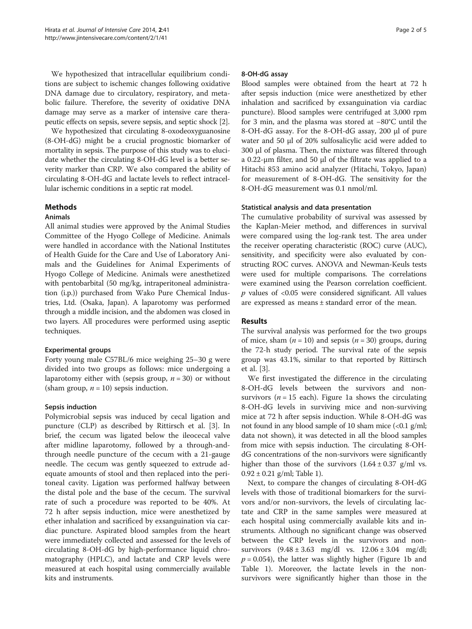We hypothesized that intracellular equilibrium conditions are subject to ischemic changes following oxidative DNA damage due to circulatory, respiratory, and metabolic failure. Therefore, the severity of oxidative DNA damage may serve as a marker of intensive care therapeutic effects on sepsis, severe sepsis, and septic shock [[2\]](#page-4-0).

We hypothesized that circulating 8-oxodeoxyguanosine (8-OH-dG) might be a crucial prognostic biomarker of mortality in sepsis. The purpose of this study was to elucidate whether the circulating 8-OH-dG level is a better severity marker than CRP. We also compared the ability of circulating 8-OH-dG and lactate levels to reflect intracellular ischemic conditions in a septic rat model.

# **Methods**

## Animals

All animal studies were approved by the Animal Studies Committee of the Hyogo College of Medicine. Animals were handled in accordance with the National Institutes of Health Guide for the Care and Use of Laboratory Animals and the Guidelines for Animal Experiments of Hyogo College of Medicine. Animals were anesthetized with pentobarbital (50 mg/kg, intraperitoneal administration (i.p.)) purchased from Wako Pure Chemical Industries, Ltd. (Osaka, Japan). A laparotomy was performed through a middle incision, and the abdomen was closed in two layers. All procedures were performed using aseptic techniques.

## Experimental groups

Forty young male C57BL/6 mice weighing 25–30 g were divided into two groups as follows: mice undergoing a laparotomy either with (sepsis group,  $n = 30$ ) or without (sham group,  $n = 10$ ) sepsis induction.

# Sepsis induction

Polymicrobial sepsis was induced by cecal ligation and puncture (CLP) as described by Rittirsch et al. [[3\]](#page-4-0). In brief, the cecum was ligated below the ileocecal valve after midline laparotomy, followed by a through-andthrough needle puncture of the cecum with a 21-gauge needle. The cecum was gently squeezed to extrude adequate amounts of stool and then replaced into the peritoneal cavity. Ligation was performed halfway between the distal pole and the base of the cecum. The survival rate of such a procedure was reported to be 40%. At 72 h after sepsis induction, mice were anesthetized by ether inhalation and sacrificed by exsanguination via cardiac puncture. Aspirated blood samples from the heart were immediately collected and assessed for the levels of circulating 8-OH-dG by high-performance liquid chromatography (HPLC), and lactate and CRP levels were measured at each hospital using commercially available kits and instruments.

## 8-OH-dG assay

Blood samples were obtained from the heart at 72 h after sepsis induction (mice were anesthetized by ether inhalation and sacrificed by exsanguination via cardiac puncture). Blood samples were centrifuged at 3,000 rpm for 3 min, and the plasma was stored at −80°C until the 8-OH-dG assay. For the 8-OH-dG assay, 200 μl of pure water and 50 μl of 20% sulfosalicylic acid were added to 300 μl of plasma. Then, the mixture was filtered through a 0.22-μm filter, and 50 μl of the filtrate was applied to a Hitachi 853 amino acid analyzer (Hitachi, Tokyo, Japan) for measurement of 8-OH-dG. The sensitivity for the 8-OH-dG measurement was 0.1 nmol/ml.

# Statistical analysis and data presentation

The cumulative probability of survival was assessed by the Kaplan-Meier method, and differences in survival were compared using the log-rank test. The area under the receiver operating characteristic (ROC) curve (AUC), sensitivity, and specificity were also evaluated by constructing ROC curves. ANOVA and Newman-Keuls tests were used for multiple comparisons. The correlations were examined using the Pearson correlation coefficient.  $p$  values of <0.05 were considered significant. All values are expressed as means ± standard error of the mean.

# Results

The survival analysis was performed for the two groups of mice, sham  $(n = 10)$  and sepsis  $(n = 30)$  groups, during the 72-h study period. The survival rate of the sepsis group was 43.1%, similar to that reported by Rittirsch et al. [\[3](#page-4-0)].

We first investigated the difference in the circulating 8-OH-dG levels between the survivors and nonsurvivors ( $n = 15$  each). Figure [1a](#page-2-0) shows the circulating 8-OH-dG levels in surviving mice and non-surviving mice at 72 h after sepsis induction. While 8-OH-dG was not found in any blood sample of 10 sham mice  $\langle$  <0.1 g/ml; data not shown), it was detected in all the blood samples from mice with sepsis induction. The circulating 8-OHdG concentrations of the non-survivors were significantly higher than those of the survivors  $(1.64 \pm 0.37 \text{ g/ml vs.})$  $0.92 \pm 0.21$  g/ml; Table [1](#page-2-0)).

Next, to compare the changes of circulating 8-OH-dG levels with those of traditional biomarkers for the survivors and/or non-survivors, the levels of circulating lactate and CRP in the same samples were measured at each hospital using commercially available kits and instruments. Although no significant change was observed between the CRP levels in the survivors and nonsurvivors (9.48 ± 3.63 mg/dl vs. 12.06 ± 3.04 mg/dl;  $p = 0.054$ ), the latter was slightly higher (Figure [1](#page-2-0)b and Table [1\)](#page-2-0). Moreover, the lactate levels in the nonsurvivors were significantly higher than those in the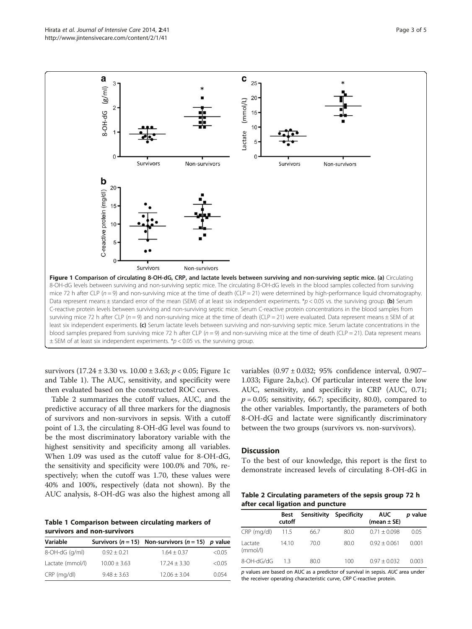<span id="page-2-0"></span>

survivors  $(17.24 \pm 3.30 \text{ vs. } 10.00 \pm 3.63; p < 0.05; \text{ Figure 1c})$ and Table 1). The AUC, sensitivity, and specificity were then evaluated based on the constructed ROC curves.

Table 2 summarizes the cutoff values, AUC, and the predictive accuracy of all three markers for the diagnosis of survivors and non-survivors in sepsis. With a cutoff point of 1.3, the circulating 8-OH-dG level was found to be the most discriminatory laboratory variable with the highest sensitivity and specificity among all variables. When 1.09 was used as the cutoff value for 8-OH-dG, the sensitivity and specificity were 100.0% and 70%, respectively; when the cutoff was 1.70, these values were 40% and 100%, respectively (data not shown). By the AUC analysis, 8-OH-dG was also the highest among all

Table 1 Comparison between circulating markers of survivors and non-survivors

| Variable          |                | Survivors ( $n = 15$ ) Non-survivors ( $n = 15$ ) p value |        |
|-------------------|----------------|-----------------------------------------------------------|--------|
| $8$ -OH-dG (g/ml) | $0.92 + 0.21$  | $1.64 + 0.37$                                             | < 0.05 |
| Lactate (mmol/l)  | $10.00 + 3.63$ | $17.24 + 3.30$                                            | < 0.05 |
| CRP (mg/dl)       | $9.48 + 3.63$  | $12.06 + 3.04$                                            | 0.054  |

variables  $(0.97 \pm 0.032; 95\%$  confidence interval, 0.907-1.033; Figure [2](#page-3-0)a,b,c). Of particular interest were the low AUC, sensitivity, and specificity in CRP (AUC, 0.71;  $p = 0.05$ ; sensitivity, 66.7; specificity, 80.0), compared to the other variables. Importantly, the parameters of both 8-OH-dG and lactate were significantly discriminatory between the two groups (survivors vs. non-survivors).

## **Discussion**

To the best of our knowledge, this report is the first to demonstrate increased levels of circulating 8-OH-dG in

|  | Table 2 Circulating parameters of the sepsis group 72 h |  |  |  |  |
|--|---------------------------------------------------------|--|--|--|--|
|  | after cecal ligation and puncture                       |  |  |  |  |

|                     | <b>Best</b><br>cutoff |      | Sensitivity Specificity | <b>AUC</b><br>(mean $\pm$ SE) | p value |
|---------------------|-----------------------|------|-------------------------|-------------------------------|---------|
| CRP (mg/dl)         | 11.5                  | 66.7 | 80.0                    | $0.71 + 0.098$                | 0.05    |
| Lactate<br>(mmol/l) | 14.10                 | 70.0 | 80.0                    | $0.92 + 0.061$                | 0.001   |
| 8-OH-dG/dG          | 13                    | 80.0 | 100                     | $0.97 + 0.032$                | 0.003   |

p values are based on AUC as a predictor of survival in sepsis. AUC area under the receiver operating characteristic curve, CRP C-reactive protein.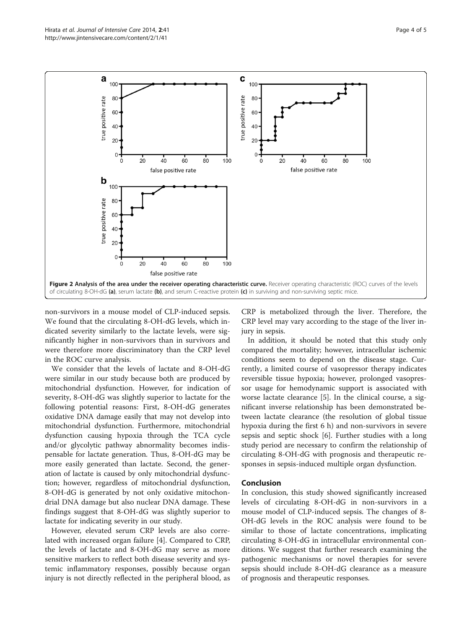<span id="page-3-0"></span>

non-survivors in a mouse model of CLP-induced sepsis. We found that the circulating 8-OH-dG levels, which indicated severity similarly to the lactate levels, were significantly higher in non-survivors than in survivors and were therefore more discriminatory than the CRP level in the ROC curve analysis.

We consider that the levels of lactate and 8-OH-dG were similar in our study because both are produced by mitochondrial dysfunction. However, for indication of severity, 8-OH-dG was slightly superior to lactate for the following potential reasons: First, 8-OH-dG generates oxidative DNA damage easily that may not develop into mitochondrial dysfunction. Furthermore, mitochondrial dysfunction causing hypoxia through the TCA cycle and/or glycolytic pathway abnormality becomes indispensable for lactate generation. Thus, 8-OH-dG may be more easily generated than lactate. Second, the generation of lactate is caused by only mitochondrial dysfunction; however, regardless of mitochondrial dysfunction, 8-OH-dG is generated by not only oxidative mitochondrial DNA damage but also nuclear DNA damage. These findings suggest that 8-OH-dG was slightly superior to lactate for indicating severity in our study.

However, elevated serum CRP levels are also correlated with increased organ failure [[4\]](#page-4-0). Compared to CRP, the levels of lactate and 8-OH-dG may serve as more sensitive markers to reflect both disease severity and systemic inflammatory responses, possibly because organ injury is not directly reflected in the peripheral blood, as

CRP is metabolized through the liver. Therefore, the CRP level may vary according to the stage of the liver injury in sepsis.

In addition, it should be noted that this study only compared the mortality; however, intracellular ischemic conditions seem to depend on the disease stage. Currently, a limited course of vasopressor therapy indicates reversible tissue hypoxia; however, prolonged vasopressor usage for hemodynamic support is associated with worse lactate clearance [[5](#page-4-0)]. In the clinical course, a significant inverse relationship has been demonstrated between lactate clearance (the resolution of global tissue hypoxia during the first 6 h) and non-survivors in severe sepsis and septic shock [\[6](#page-4-0)]. Further studies with a long study period are necessary to confirm the relationship of circulating 8-OH-dG with prognosis and therapeutic responses in sepsis-induced multiple organ dysfunction.

## Conclusion

In conclusion, this study showed significantly increased levels of circulating 8-OH-dG in non-survivors in a mouse model of CLP-induced sepsis. The changes of 8- OH-dG levels in the ROC analysis were found to be similar to those of lactate concentrations, implicating circulating 8-OH-dG in intracellular environmental conditions. We suggest that further research examining the pathogenic mechanisms or novel therapies for severe sepsis should include 8-OH-dG clearance as a measure of prognosis and therapeutic responses.